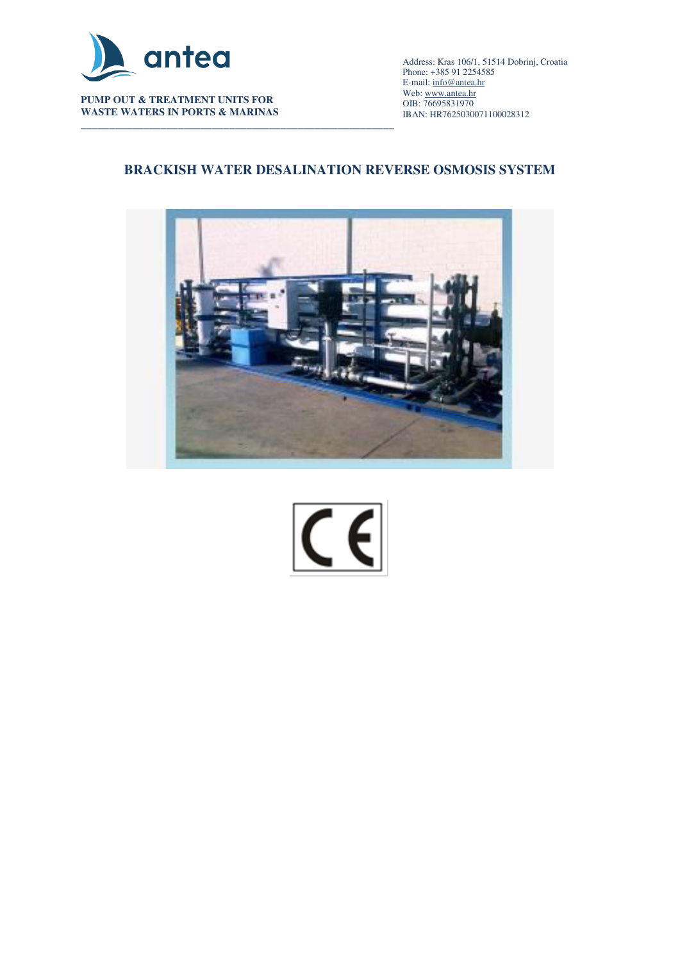

**WASTE WATERS IN PORTS & MARINAS** 

\_\_\_\_\_\_\_\_\_\_\_\_\_\_\_\_\_\_\_\_\_\_\_\_\_\_\_\_\_\_\_\_\_\_\_\_\_\_\_\_\_\_\_\_\_\_\_\_\_\_\_\_\_\_\_\_\_\_\_\_\_\_\_\_\_\_\_\_\_\_\_\_\_\_\_\_\_\_\_\_\_\_\_\_\_\_\_\_\_\_ Address: Kras 106/1, 51514 Dobrinj, Croatia Phone: +385 91 2254585 E-mail[: info@antea.hr](mailto:info@antea.hr) Web: www.antea.hr OIB: 76695831970 IBAN: HR7625030071100028312

## **BRACKISH WATER DESALINATION REVERSE OSMOSIS SYSTEM**



 $C \in$